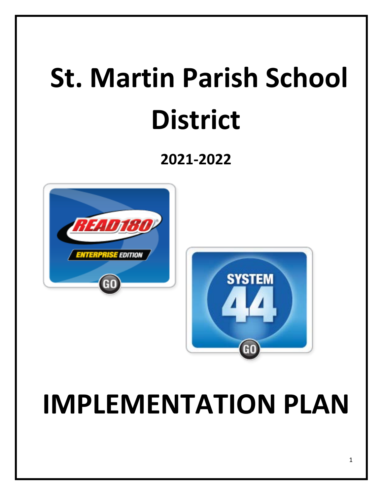# **St. Martin Parish School District**

## **2021-2022**



## **IMPLEMENTATION PLAN**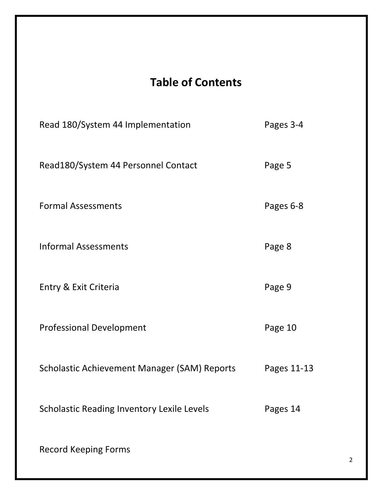## **Table of Contents**

| Read 180/System 44 Implementation                 | Pages 3-4   |
|---------------------------------------------------|-------------|
| Read180/System 44 Personnel Contact               | Page 5      |
| <b>Formal Assessments</b>                         | Pages 6-8   |
| <b>Informal Assessments</b>                       | Page 8      |
| Entry & Exit Criteria                             | Page 9      |
| <b>Professional Development</b>                   | Page 10     |
| Scholastic Achievement Manager (SAM) Reports      | Pages 11-13 |
| <b>Scholastic Reading Inventory Lexile Levels</b> | Pages 14    |
| <b>Record Keeping Forms</b>                       |             |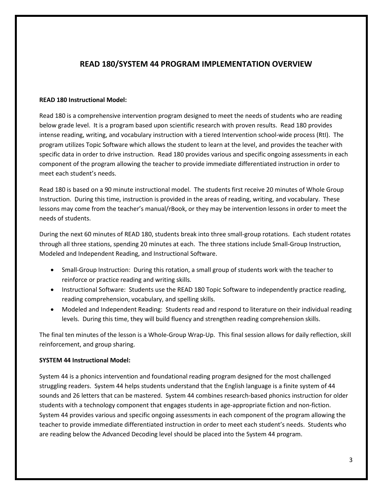#### **READ 180/SYSTEM 44 PROGRAM IMPLEMENTATION OVERVIEW**

#### **READ 180 Instructional Model:**

Read 180 is a comprehensive intervention program designed to meet the needs of students who are reading below grade level. It is a program based upon scientific research with proven results. Read 180 provides intense reading, writing, and vocabulary instruction with a tiered Intervention school-wide process (RtI). The program utilizes Topic Software which allows the student to learn at the level, and provides the teacher with specific data in order to drive instruction. Read 180 provides various and specific ongoing assessments in each component of the program allowing the teacher to provide immediate differentiated instruction in order to meet each student's needs.

Read 180 is based on a 90 minute instructional model. The students first receive 20 minutes of Whole Group Instruction. During this time, instruction is provided in the areas of reading, writing, and vocabulary. These lessons may come from the teacher's manual/rBook, or they may be intervention lessons in order to meet the needs of students.

During the next 60 minutes of READ 180, students break into three small-group rotations. Each student rotates through all three stations, spending 20 minutes at each. The three stations include Small-Group Instruction, Modeled and Independent Reading, and Instructional Software.

- Small-Group Instruction: During this rotation, a small group of students work with the teacher to reinforce or practice reading and writing skills.
- Instructional Software: Students use the READ 180 Topic Software to independently practice reading, reading comprehension, vocabulary, and spelling skills.
- Modeled and Independent Reading: Students read and respond to literature on their individual reading levels. During this time, they will build fluency and strengthen reading comprehension skills.

The final ten minutes of the lesson is a Whole-Group Wrap-Up. This final session allows for daily reflection, skill reinforcement, and group sharing.

#### **SYSTEM 44 Instructional Model:**

System 44 is a phonics intervention and foundational reading program designed for the most challenged struggling readers. System 44 helps students understand that the English language is a finite system of 44 sounds and 26 letters that can be mastered. System 44 combines research-based phonics instruction for older students with a technology component that engages students in age-appropriate fiction and non-fiction. System 44 provides various and specific ongoing assessments in each component of the program allowing the teacher to provide immediate differentiated instruction in order to meet each student's needs. Students who are reading below the Advanced Decoding level should be placed into the System 44 program.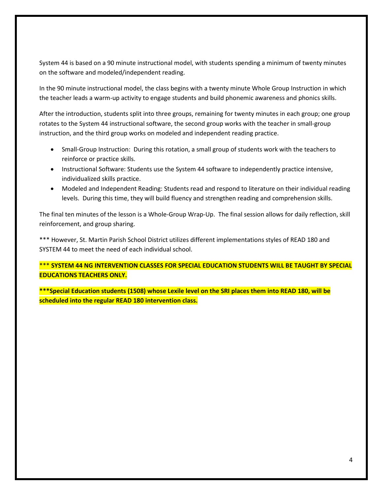System 44 is based on a 90 minute instructional model, with students spending a minimum of twenty minutes on the software and modeled/independent reading.

In the 90 minute instructional model, the class begins with a twenty minute Whole Group Instruction in which the teacher leads a warm-up activity to engage students and build phonemic awareness and phonics skills.

After the introduction, students split into three groups, remaining for twenty minutes in each group; one group rotates to the System 44 instructional software, the second group works with the teacher in small-group instruction, and the third group works on modeled and independent reading practice.

- Small-Group Instruction: During this rotation, a small group of students work with the teachers to reinforce or practice skills.
- Instructional Software: Students use the System 44 software to independently practice intensive, individualized skills practice.
- Modeled and Independent Reading: Students read and respond to literature on their individual reading levels. During this time, they will build fluency and strengthen reading and comprehension skills.

The final ten minutes of the lesson is a Whole-Group Wrap-Up. The final session allows for daily reflection, skill reinforcement, and group sharing.

\*\*\* However, St. Martin Parish School District utilizes different implementations styles of READ 180 and SYSTEM 44 to meet the need of each individual school.

\*\*\* **SYSTEM 44 NG INTERVENTION CLASSES FOR SPECIAL EDUCATION STUDENTS WILL BE TAUGHT BY SPECIAL EDUCATIONS TEACHERS ONLY.**

**\*\*\*Special Education students (1508) whose Lexile level on the SRI places them into READ 180, will be scheduled into the regular READ 180 intervention class.**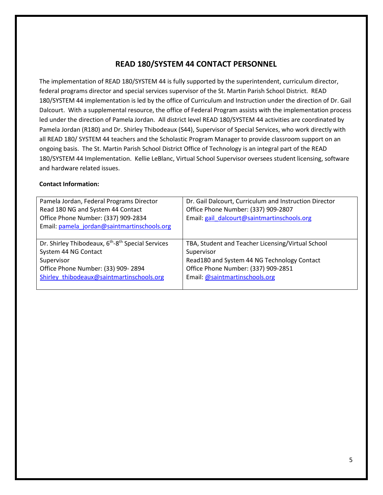#### **READ 180/SYSTEM 44 CONTACT PERSONNEL**

The implementation of READ 180/SYSTEM 44 is fully supported by the superintendent, curriculum director, federal programs director and special services supervisor of the St. Martin Parish School District. READ 180/SYSTEM 44 implementation is led by the office of Curriculum and Instruction under the direction of Dr. Gail Dalcourt. With a supplemental resource, the office of Federal Program assists with the implementation process led under the direction of Pamela Jordan. All district level READ 180/SYSTEM 44 activities are coordinated by Pamela Jordan (R180) and Dr. Shirley Thibodeaux (S44), Supervisor of Special Services, who work directly with all READ 180/ SYSTEM 44 teachers and the Scholastic Program Manager to provide classroom support on an ongoing basis. The St. Martin Parish School District Office of Technology is an integral part of the READ 180/SYSTEM 44 Implementation. Kellie LeBlanc, Virtual School Supervisor oversees student licensing, software and hardware related issues.

#### **Contact Information:**

| Pamela Jordan, Federal Programs Director<br>Read 180 NG and System 44 Contact<br>Office Phone Number: (337) 909-2834 | Dr. Gail Dalcourt, Curriculum and Instruction Director<br>Office Phone Number: (337) 909-2807<br>Email: gail_dalcourt@saintmartinschools.org |
|----------------------------------------------------------------------------------------------------------------------|----------------------------------------------------------------------------------------------------------------------------------------------|
| Email: pamela jordan@saintmartinschools.org                                                                          |                                                                                                                                              |
|                                                                                                                      |                                                                                                                                              |
| Dr. Shirley Thibodeaux, 6 <sup>th</sup> -8 <sup>th</sup> Special Services                                            | TBA, Student and Teacher Licensing/Virtual School                                                                                            |
| System 44 NG Contact                                                                                                 | Supervisor                                                                                                                                   |
| Supervisor                                                                                                           | Read180 and System 44 NG Technology Contact                                                                                                  |
| Office Phone Number: (33) 909-2894                                                                                   | Office Phone Number: (337) 909-2851                                                                                                          |
| Shirley thibodeaux@saintmartinschools.org                                                                            | Email: @saintmartinschools.org                                                                                                               |
|                                                                                                                      |                                                                                                                                              |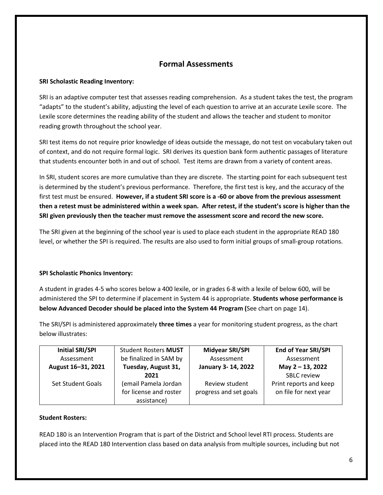#### **Formal Assessments**

#### **SRI Scholastic Reading Inventory:**

SRI is an adaptive computer test that assesses reading comprehension. As a student takes the test, the program "adapts" to the student's ability, adjusting the level of each question to arrive at an accurate Lexile score. The Lexile score determines the reading ability of the student and allows the teacher and student to monitor reading growth throughout the school year.

SRI test items do not require prior knowledge of ideas outside the message, do not test on vocabulary taken out of context, and do not require formal logic. SRI derives its question bank form authentic passages of literature that students encounter both in and out of school. Test items are drawn from a variety of content areas.

In SRI, student scores are more cumulative than they are discrete. The starting point for each subsequent test is determined by the student's previous performance. Therefore, the first test is key, and the accuracy of the first test must be ensured. **However, if a student SRI score is a -60 or above from the previous assessment then a retest must be administered within a week span. After retest, if the student's score is higher than the SRI given previously then the teacher must remove the assessment score and record the new score.** 

The SRI given at the beginning of the school year is used to place each student in the appropriate READ 180 level, or whether the SPI is required. The results are also used to form initial groups of small-group rotations.

#### **SPI Scholastic Phonics Inventory:**

A student in grades 4-5 who scores below a 400 lexile, or in grades 6-8 with a lexile of below 600, will be administered the SPI to determine if placement in System 44 is appropriate. **Students whose performance is below Advanced Decoder should be placed into the System 44 Program (**See chart on page 14).

The SRI/SPI is administered approximately **three times** a year for monitoring student progress, as the chart below illustrates:

| <b>Initial SRI/SPI</b> | <b>Student Rosters MUST</b>                                   | <b>Midyear SRI/SPI</b>                   | <b>End of Year SRI/SPI</b>                      |
|------------------------|---------------------------------------------------------------|------------------------------------------|-------------------------------------------------|
| Assessment             | be finalized in SAM by<br>Assessment                          |                                          | Assessment                                      |
| August 16-31, 2021     | Tuesday, August 31,<br>January 3-14, 2022                     |                                          | May 2 - 13, 2022                                |
|                        | 2021                                                          |                                          | <b>SBLC review</b>                              |
| Set Student Goals      | (email Pamela Jordan<br>for license and roster<br>assistance) | Review student<br>progress and set goals | Print reports and keep<br>on file for next year |

#### **Student Rosters:**

READ 180 is an Intervention Program that is part of the District and School level RTI process. Students are placed into the READ 180 Intervention class based on data analysis from multiple sources, including but not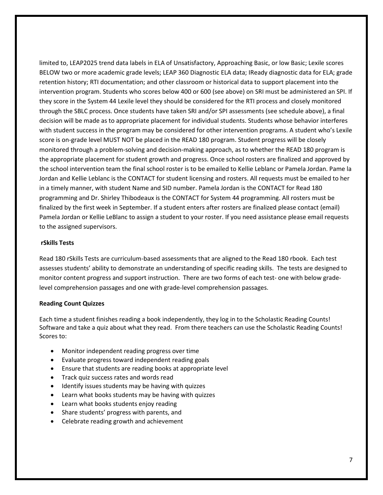limited to, LEAP2025 trend data labels in ELA of Unsatisfactory, Approaching Basic, or low Basic; Lexile scores BELOW two or more academic grade levels; LEAP 360 Diagnostic ELA data; IReady diagnostic data for ELA; grade retention history; RTI documentation; and other classroom or historical data to support placement into the intervention program. Students who scores below 400 or 600 (see above) on SRI must be administered an SPI. If they score in the System 44 Lexile level they should be considered for the RTI process and closely monitored through the SBLC process. Once students have taken SRI and/or SPI assessments (see schedule above), a final decision will be made as to appropriate placement for individual students. Students whose behavior interferes with student success in the program may be considered for other intervention programs. A student who's Lexile score is on-grade level MUST NOT be placed in the READ 180 program. Student progress will be closely monitored through a problem-solving and decision-making approach, as to whether the READ 180 program is the appropriate placement for student growth and progress. Once school rosters are finalized and approved by the school intervention team the final school roster is to be emailed to Kellie Leblanc or Pamela Jordan. Pame la Jordan and Kellie Leblanc is the CONTACT for student licensing and rosters. All requests must be emailed to her in a timely manner, with student Name and SID number. Pamela Jordan is the CONTACT for Read 180 programming and Dr. Shirley Thibodeaux is the CONTACT for System 44 programming. All rosters must be finalized by the first week in September. If a student enters after rosters are finalized please contact (email) Pamela Jordan or Kellie LeBlanc to assign a student to your roster. If you need assistance please email requests to the assigned supervisors.

#### **rSkills Tests**

Read 180 rSkills Tests are curriculum-based assessments that are aligned to the Read 180 rbook. Each test assesses students' ability to demonstrate an understanding of specific reading skills. The tests are designed to monitor content progress and support instruction. There are two forms of each test- one with below gradelevel comprehension passages and one with grade-level comprehension passages.

#### **Reading Count Quizzes**

Each time a student finishes reading a book independently, they log in to the Scholastic Reading Counts! Software and take a quiz about what they read. From there teachers can use the Scholastic Reading Counts! Scores to:

- Monitor independent reading progress over time
- Evaluate progress toward independent reading goals
- Ensure that students are reading books at appropriate level
- Track quiz success rates and words read
- Identify issues students may be having with quizzes
- Learn what books students may be having with quizzes
- Learn what books students enjoy reading
- Share students' progress with parents, and
- Celebrate reading growth and achievement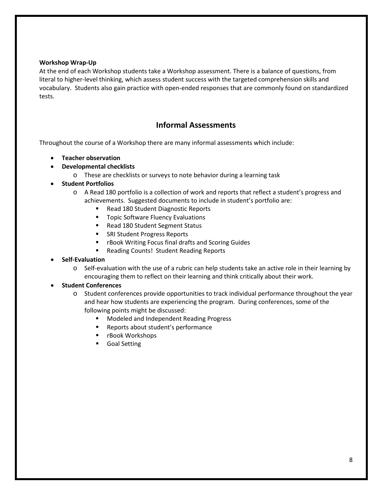#### **Workshop Wrap-Up**

At the end of each Workshop students take a Workshop assessment. There is a balance of questions, from literal to higher-level thinking, which assess student success with the targeted comprehension skills and vocabulary. Students also gain practice with open-ended responses that are commonly found on standardized tests.

#### **Informal Assessments**

Throughout the course of a Workshop there are many informal assessments which include:

- **Teacher observation**
- **Developmental checklists**
	- o These are checklists or surveys to note behavior during a learning task
- **Student Portfolios**
	- o A Read 180 portfolio is a collection of work and reports that reflect a student's progress and achievements. Suggested documents to include in student's portfolio are:
		- Read 180 Student Diagnostic Reports
		- **Topic Software Fluency Evaluations**
		- Read 180 Student Segment Status
		- SRI Student Progress Reports
		- rBook Writing Focus final drafts and Scoring Guides
		- **Reading Counts! Student Reading Reports**
- **Self-Evaluation**
	- o Self-evaluation with the use of a rubric can help students take an active role in their learning by encouraging them to reflect on their learning and think critically about their work.

#### • **Student Conferences**

- o Student conferences provide opportunities to track individual performance throughout the year and hear how students are experiencing the program. During conferences, some of the following points might be discussed:
	- Modeled and Independent Reading Progress
	- Reports about student's performance
	- **F** rBook Workshops
	- **Goal Setting**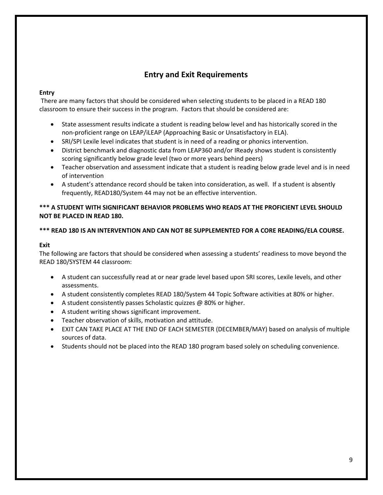#### **Entry and Exit Requirements**

#### **Entry**

There are many factors that should be considered when selecting students to be placed in a READ 180 classroom to ensure their success in the program. Factors that should be considered are:

- State assessment results indicate a student is reading below level and has historically scored in the non-proficient range on LEAP/iLEAP (Approaching Basic or Unsatisfactory in ELA).
- SRI/SPI Lexile level indicates that student is in need of a reading or phonics intervention.
- District benchmark and diagnostic data from LEAP360 and/or IReady shows student is consistently scoring significantly below grade level (two or more years behind peers)
- Teacher observation and assessment indicate that a student is reading below grade level and is in need of intervention
- A student's attendance record should be taken into consideration, as well. If a student is absently frequently, READ180/System 44 may not be an effective intervention.

#### **\*\*\* A STUDENT WITH SIGNIFICANT BEHAVIOR PROBLEMS WHO READS AT THE PROFICIENT LEVEL SHOULD NOT BE PLACED IN READ 180.**

#### **\*\*\* READ 180 IS AN INTERVENTION AND CAN NOT BE SUPPLEMENTED FOR A CORE READING/ELA COURSE.**

#### **Exit**

The following are factors that should be considered when assessing a students' readiness to move beyond the READ 180/SYSTEM 44 classroom:

- A student can successfully read at or near grade level based upon SRI scores, Lexile levels, and other assessments.
- A student consistently completes READ 180/System 44 Topic Software activities at 80% or higher.
- A student consistently passes Scholastic quizzes @ 80% or higher.
- A student writing shows significant improvement.
- Teacher observation of skills, motivation and attitude.
- EXIT CAN TAKE PLACE AT THE END OF EACH SEMESTER (DECEMBER/MAY) based on analysis of multiple sources of data.
- Students should not be placed into the READ 180 program based solely on scheduling convenience.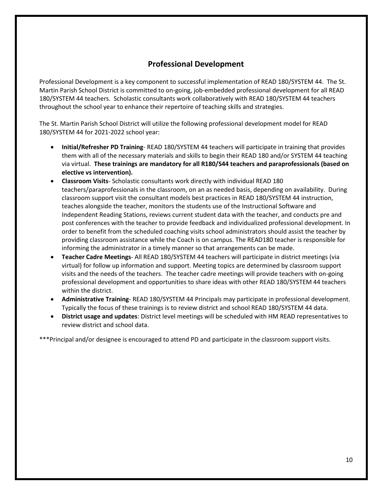#### **Professional Development**

Professional Development is a key component to successful implementation of READ 180/SYSTEM 44. The St. Martin Parish School District is committed to on-going, job-embedded professional development for all READ 180/SYSTEM 44 teachers. Scholastic consultants work collaboratively with READ 180/SYSTEM 44 teachers throughout the school year to enhance their repertoire of teaching skills and strategies.

The St. Martin Parish School District will utilize the following professional development model for READ 180/SYSTEM 44 for 2021-2022 school year:

- **Initial/Refresher PD Training** READ 180/SYSTEM 44 teachers will participate in training that provides them with all of the necessary materials and skills to begin their READ 180 and/or SYSTEM 44 teaching via virtual. **These trainings are mandatory for all R180/S44 teachers and paraprofessionals (based on elective vs intervention).**
- **Classroom Visits** Scholastic consultants work directly with individual READ 180 teachers/paraprofessionals in the classroom, on an as needed basis, depending on availability. During classroom support visit the consultant models best practices in READ 180/SYSTEM 44 instruction, teaches alongside the teacher, monitors the students use of the Instructional Software and Independent Reading Stations, reviews current student data with the teacher, and conducts pre and post conferences with the teacher to provide feedback and individualized professional development. In order to benefit from the scheduled coaching visits school administrators should assist the teacher by providing classroom assistance while the Coach is on campus. The READ180 teacher is responsible for informing the administrator in a timely manner so that arrangements can be made.
- **Teacher Cadre Meetings** All READ 180/SYSTEM 44 teachers will participate in district meetings (via virtual) for follow up information and support. Meeting topics are determined by classroom support visits and the needs of the teachers. The teacher cadre meetings will provide teachers with on-going professional development and opportunities to share ideas with other READ 180/SYSTEM 44 teachers within the district.
- **Administrative Training** READ 180/SYSTEM 44 Principals may participate in professional development. Typically the focus of these trainings is to review district and school READ 180/SYSTEM 44 data.
- **District usage and updates**: District level meetings will be scheduled with HM READ representatives to review district and school data.

\*\*\*Principal and/or designee is encouraged to attend PD and participate in the classroom support visits.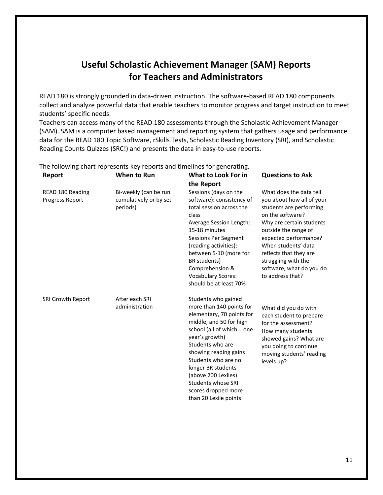### **Useful Scholastic Achievement Manager (SAM) Reports for Teachers and Administrators**

READ 180 is strongly grounded in data-driven instruction. The software-based READ 180 components collect and analyze powerful data that enable teachers to monitor progress and target instruction to meet students' specific needs.

Teachers can access many of the READ 180 assessments through the Scholastic Achievement Manager (SAM). SAM is a computer based management and reporting system that gathers usage and performance data for the READ 180 Topic Software, rSkills Tests, Scholastic Reading Inventory (SRI), and Scholastic Reading Counts Quizzes (SRC!) and presents the data in easy-to-use reports.

| Report                              | When to Run                                                 | What to Look For in                                                                                                                                                                                                                                                                                                                                   | <b>Questions to Ask</b>                                                                                                                                                                                                                                                                                  |
|-------------------------------------|-------------------------------------------------------------|-------------------------------------------------------------------------------------------------------------------------------------------------------------------------------------------------------------------------------------------------------------------------------------------------------------------------------------------------------|----------------------------------------------------------------------------------------------------------------------------------------------------------------------------------------------------------------------------------------------------------------------------------------------------------|
|                                     |                                                             | the Report                                                                                                                                                                                                                                                                                                                                            |                                                                                                                                                                                                                                                                                                          |
| READ 180 Reading<br>Progress Report | Bi-weekly (can be run<br>cumulatively or by set<br>periods) | Sessions (days on the<br>software): consistency of<br>total session across the<br>class<br>Average Session Length:<br>15-18 minutes<br>Sessions Per Segment<br>(reading activities):<br>between 5-10 (more for<br>BR students)<br>Comprehension &<br><b>Vocabulary Scores:</b><br>should be at least 70%                                              | What does the data tell<br>you about how all of your<br>students are performing<br>on the software?<br>Why are certain students<br>outside the range of<br>expected performance?<br>When students' data<br>reflects that they are<br>struggling with the<br>software, what do you do<br>to address that? |
| SRI Growth Report                   | After each SRI<br>administration                            | Students who gained<br>more than 140 points for<br>elementary, 70 points for<br>middle, and 50 for high<br>school (all of which = one<br>year's growth)<br>Students who are<br>showing reading gains<br>Students who are no<br>longer BR students<br>(above 200 Lexiles)<br><b>Students whose SRI</b><br>scores dropped more<br>than 20 Lexile points | What did you do with<br>each student to prepare<br>for the assessment?<br>How many students<br>showed gains? What are<br>you doing to continue<br>moving students' reading<br>levels up?                                                                                                                 |

The following chart represents key reports and timelines for generating.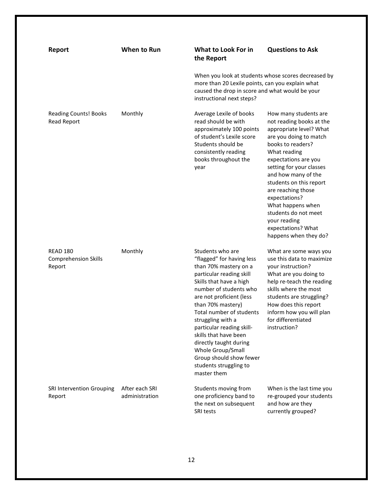| Report                                                   | <b>When to Run</b>               | What to Look For in<br>the Report                                                                                                                                                                                                                                                                                                                                                                                                  | <b>Questions to Ask</b>                                                                                                                                                                                                                                                                                                                                                                              |
|----------------------------------------------------------|----------------------------------|------------------------------------------------------------------------------------------------------------------------------------------------------------------------------------------------------------------------------------------------------------------------------------------------------------------------------------------------------------------------------------------------------------------------------------|------------------------------------------------------------------------------------------------------------------------------------------------------------------------------------------------------------------------------------------------------------------------------------------------------------------------------------------------------------------------------------------------------|
|                                                          |                                  | When you look at students whose scores decreased by<br>more than 20 Lexile points, can you explain what<br>caused the drop in score and what would be your<br>instructional next steps?                                                                                                                                                                                                                                            |                                                                                                                                                                                                                                                                                                                                                                                                      |
| <b>Reading Counts! Books</b><br><b>Read Report</b>       | Monthly                          | Average Lexile of books<br>read should be with<br>approximately 100 points<br>of student's Lexile score<br>Students should be<br>consistently reading<br>books throughout the<br>year                                                                                                                                                                                                                                              | How many students are<br>not reading books at the<br>appropriate level? What<br>are you doing to match<br>books to readers?<br>What reading<br>expectations are you<br>setting for your classes<br>and how many of the<br>students on this report<br>are reaching those<br>expectations?<br>What happens when<br>students do not meet<br>your reading<br>expectations? What<br>happens when they do? |
| <b>READ 180</b><br><b>Comprehension Skills</b><br>Report | Monthly                          | Students who are<br>"flagged" for having less<br>than 70% mastery on a<br>particular reading skill<br>Skills that have a high<br>number of students who<br>are not proficient (less<br>than 70% mastery)<br>Total number of students<br>struggling with a<br>particular reading skill-<br>skills that have been<br>directly taught during<br>Whole Group/Small<br>Group should show fewer<br>students struggling to<br>master them | What are some ways you<br>use this data to maximize<br>your instruction?<br>What are you doing to<br>help re-teach the reading<br>skills where the most<br>students are struggling?<br>How does this report<br>inform how you will plan<br>for differentiated<br>instruction?                                                                                                                        |
| SRI Intervention Grouping<br>Report                      | After each SRI<br>administration | Students moving from<br>one proficiency band to<br>the next on subsequent<br>SRI tests                                                                                                                                                                                                                                                                                                                                             | When is the last time you<br>re-grouped your students<br>and how are they<br>currently grouped?                                                                                                                                                                                                                                                                                                      |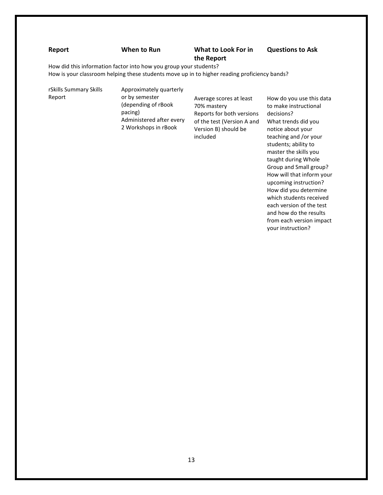#### **Report When to Run What to Look For in**

## **the Report**

**Questions to Ask** 

How did this information factor into how you group your students?

How is your classroom helping these students move up in to higher reading proficiency bands?

rSkills Summary Skills Report

Approximately quarterly or by semester (depending of rBook pacing) Administered after every 2 Workshops in rBook

Average scores at least 70% mastery Reports for both versions of the test (Version A and Version B) should be included

How do you use this data to make instructional decisions? What trends did you notice about your teaching and /or your students; ability to master the skills you taught during Whole Group and Small group? How will that inform your upcoming instruction? How did you determine which students received each version of the test and how do the results from each version impact your instruction?